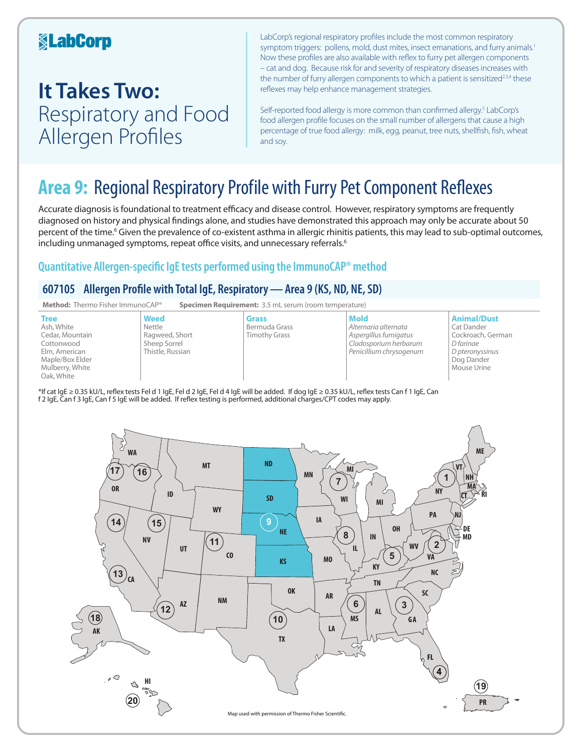## **KabCorp**

## **It Takes Two:**  Respiratory and Food Allergen Profiles

LabCorp's regional respiratory profiles include the most common respiratory symptom triggers: pollens, mold, dust mites, insect emanations, and furry animals.<sup>1</sup> Now these profiles are also available with reflex to furry pet allergen components – cat and dog. Because risk for and severity of respiratory diseases increases with the number of furry allergen components to which a patient is sensitized<sup>2,3,4</sup> these reflexes may help enhance management strategies.

Self-reported food allergy is more common than confirmed allergy.<sup>5</sup> LabCorp's food allergen profile focuses on the small number of allergens that cause a high percentage of true food allergy: milk, egg, peanut, tree nuts, shellfish, fish, wheat and soy.

## **Area 9:** Regional Respiratory Profile with Furry Pet Component Reflexes

Accurate diagnosis is foundational to treatment efficacy and disease control. However, respiratory symptoms are frequently diagnosed on history and physical findings alone, and studies have demonstrated this approach may only be accurate about 50 percent of the time.<sup>6</sup> Given the prevalence of co-existent asthma in allergic rhinitis patients, this may lead to sub-optimal outcomes, including unmanaged symptoms, repeat office visits, and unnecessary referrals.<sup>6</sup>

### **Quantitative Allergen-specific IgE tests performed using the ImmunoCAP® method**

### **607105 Allergen Profile with Total IgE, Respiratory—Area 9 (KS, ND, NE, SD)**



\*If cat IgE ≥ 0.35 kU/L, reflex tests Fel d 1 IgE, Fel d 2 IgE, Fel d 4 IgE will be added. If dog IgE ≥ 0.35 kU/L, reflex tests Can f 1 IgE, Can f 2 IgE, Can f 3 IgE, Can f 5 IgE will be added. If reflex testing is performed, additional charges/CPT codes may apply.